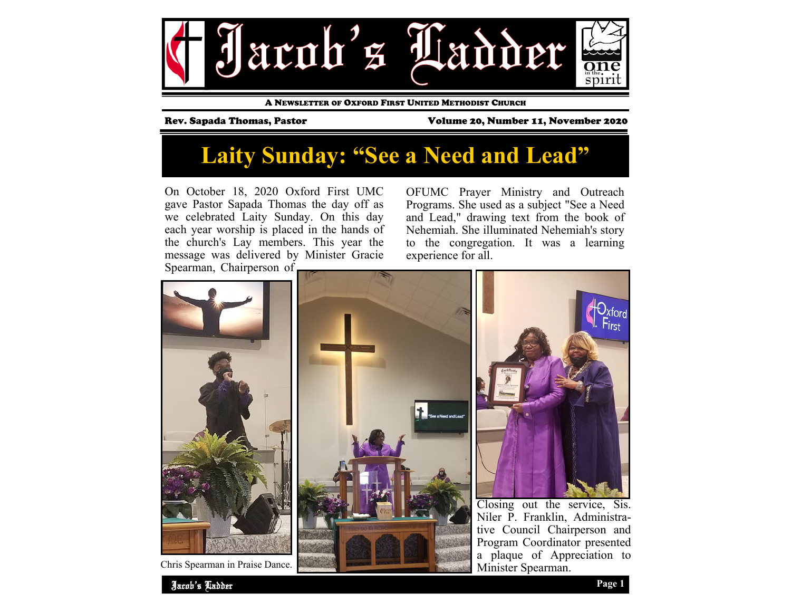

A NEWSLETTER OF OXFORD FIRST UNITED METHODIST CHURCH

Rev. Sapada Thomas, Pastor Volume 20, Number 11, November 2020

# **Laity Sunday: "See a Need and Lead"**

On October 18, 2020 Oxford First UMC gave Pastor Sapada Thomas the day off as we celebrated Laity Sunday. On this day each year worship is placed in the hands of the church's Lay members. This year the message was delivered by Minister Gracie Spearman, Chairperson of

OFUMC Prayer Ministry and Outreach Programs. She used as a subject "See a Need and Lead," drawing text from the book of Nehemiah. She illuminated Nehemiah's story to the congregation. It was a learning experience for all.



Chris Spearman in Praise Dance.

a plaque of Appreciation to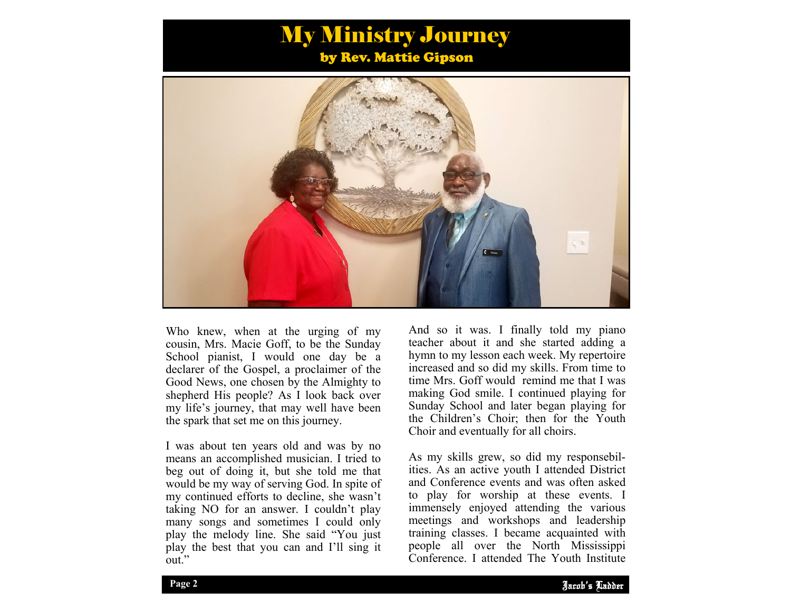## My Ministry Journey by Rev. Mattie Gipson



Who knew, when at the urging of my cousin, Mrs. Macie Goff, to be the Sunday School pianist, I would one day be a declarer of the Gospel, a proclaimer of the Good News, one chosen by the Almighty to shepherd His people? As I look back over my life's journey, that may well have been the spark that set me on this journey.

I was about ten years old and was by no means an accomplished musician. I tried to beg out of doing it, but she told me that would be my way of serving God. In spite of my continued efforts to decline, she wasn't taking NO for an answer. I couldn't play many songs and sometimes I could only play the melody line. She said "You just play the best that you can and I'll sing it out."

And so it was. I finally told my piano teacher about it and she started adding a hymn to my lesson each week. My repertoire increased and so did my skills. From time to time Mrs. Goff would remind me that I was making God smile. I continued playing for Sunday School and later began playing for the Children's Choir; then for the Youth Choir and eventually for all choirs.

training classes. I became acquainted with As my skills grew, so did my responsebilities. As an active youth I attended District and Conference events and was often asked to play for worship at these events. I immensely enjoyed attending the various meetings and workshops and leadership people all over the North Mississippi Conference. I attended The Youth Institute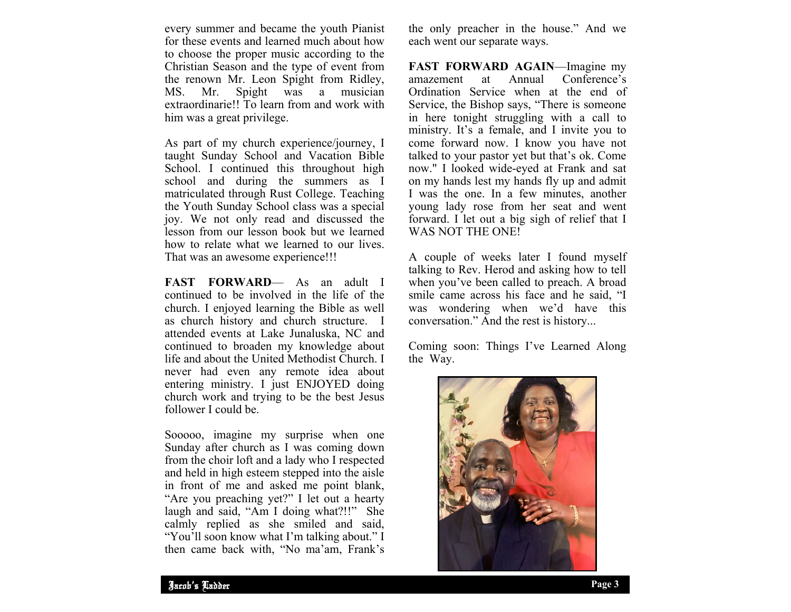every summer and became the youth Pianist for these events and learned much about how to choose the proper music according to the Christian Season and the type of event from the renown Mr. Leon Spight from Ridley, MS. Mr. Spight was a musician extraordinarie!! To learn from and work with him was a great privilege.

As part of my church experience/journey, I taught Sunday School and Vacation Bible School. I continued this throughout high school and during the summers as I matriculated through Rust College. Teaching the Youth Sunday School class was a special joy. We not only read and discussed the lesson from our lesson book but we learned how to relate what we learned to our lives. That was an awesome experience!!!

**FAST FORWARD**— As an adult I continued to be involved in the life of the church. I enjoyed learning the Bible as well as church history and church structure. attended events at Lake Junaluska, NC and continued to broaden my knowledge about life and about the United Methodist Church. I never had even any remote idea about entering ministry. I just ENJOYED doing church work and trying to be the best Jesus follower I could be.

Sooooo, imagine my surprise when one Sunday after church as I was coming down from the choir loft and a lady who I respected and held in high esteem stepped into the aisle in front of me and asked me point blank, "Are you preaching yet?" I let out a hearty laugh and said, "Am I doing what?!!" She calmly replied as she smiled and said, "You'll soon know what I'm talking about." I then came back with, "No ma'am, Frank's

the only preacher in the house." And we each went our separate ways.

**FAST FORWARD AGAIN**—Imagine my amazement at Annual Conference's Ordination Service when at the end of Service, the Bishop says, "There is someone in here tonight struggling with a call to ministry. It's a female, and I invite you to come forward now. I know you have not talked to your pastor yet but that's ok. Come now." I looked wide-eyed at Frank and sat on my hands lest my hands fly up and admit I was the one. In a few minutes, another young lady rose from her seat and went forward. I let out a big sigh of relief that I WAS NOT THE ONE!

A couple of weeks later I found myself talking to Rev. Herod and asking how to tell when you've been called to preach. A broad smile came across his face and he said, "I was wondering when we'd have this conversation." And the rest is history...

Coming soon: Things I've Learned Along the Way.